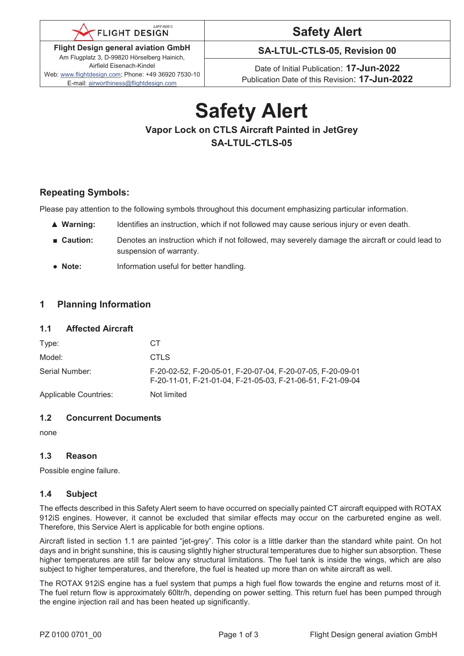

**Flight Design general aviation GmbH**  Am Flugplatz 3, D-99820 Hörselberg Hainich, Airfield Eisenach-Kindel Web: www.flightdesign.com; Phone: +49 36920 7530-10 E-mail: airworthiness@flightdesign.com

# **Safety Alert**

**SA-LTUL-CTLS-05, Revision 00** 

Date of Initial Publication: **17-Jun-2022**  Publication Date of this Revision: **17-Jun-2022**

## **Safety Alert Vapor Lock on CTLS Aircraft Painted in JetGrey SA-LTUL-CTLS-05**

#### **Repeating Symbols:**

Please pay attention to the following symbols throughout this document emphasizing particular information.

- ▲ **Warning:** Identifies an instruction, which if not followed may cause serious injury or even death.
- **Caution:** Denotes an instruction which if not followed, may severely damage the aircraft or could lead to suspension of warranty.
- **Note:** Information useful for better handling.

#### **1 Planning Information**

#### **1.1 Affected Aircraft**

| Type:                        | CT.                                                                                                                      |
|------------------------------|--------------------------------------------------------------------------------------------------------------------------|
| Model:                       | CTLS                                                                                                                     |
| Serial Number:               | F-20-02-52, F-20-05-01, F-20-07-04, F-20-07-05, F-20-09-01<br>F-20-11-01, F-21-01-04, F-21-05-03, F-21-06-51, F-21-09-04 |
| <b>Applicable Countries:</b> | Not limited                                                                                                              |

#### **1.2 Concurrent Documents**

none

#### **1.3 Reason**

Possible engine failure.

#### **1.4 Subject**

The effects described in this Safety Alert seem to have occurred on specially painted CT aircraft equipped with ROTAX 912iS engines. However, it cannot be excluded that similar effects may occur on the carbureted engine as well. Therefore, this Service Alert is applicable for both engine options.

Aircraft listed in section 1.1 are painted "jet-grey". This color is a little darker than the standard white paint. On hot days and in bright sunshine, this is causing slightly higher structural temperatures due to higher sun absorption. These higher temperatures are still far below any structural limitations. The fuel tank is inside the wings, which are also subject to higher temperatures, and therefore, the fuel is heated up more than on white aircraft as well.

The ROTAX 912iS engine has a fuel system that pumps a high fuel flow towards the engine and returns most of it. The fuel return flow is approximately 60ltr/h, depending on power setting. This return fuel has been pumped through the engine injection rail and has been heated up significantly.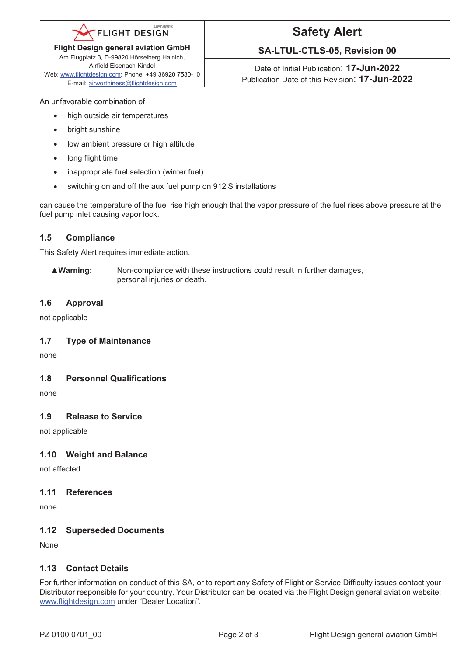#### **LIFTAIRC FLIGHT DESIGN**

**Flight Design general aviation GmbH**  Am Flugplatz 3, D-99820 Hörselberg Hainich, Airfield Eisenach-Kindel

Web: www.flightdesign.com; Phone: +49 36920 7530-10 E-mail: airworthiness@flightdesign.com

# **Safety Alert**

### **SA-LTUL-CTLS-05, Revision 00**

Date of Initial Publication: **17-Jun-2022**  Publication Date of this Revision: **17-Jun-2022**

An unfavorable combination of

- high outside air temperatures
- bright sunshine
- low ambient pressure or high altitude
- long flight time
- inappropriate fuel selection (winter fuel)
- switching on and off the aux fuel pump on 912iS installations

can cause the temperature of the fuel rise high enough that the vapor pressure of the fuel rises above pressure at the fuel pump inlet causing vapor lock.

#### **1.5 Compliance**

This Safety Alert requires immediate action.

▲**Warning:** Non-compliance with these instructions could result in further damages, personal injuries or death.

#### **1.6 Approval**

not applicable

#### **1.7 Type of Maintenance**

none

#### **1.8 Personnel Qualifications**

none

#### **1.9 Release to Service**

not applicable

#### **1.10 Weight and Balance**

not affected

#### **1.11 References**

none

#### **1.12 Superseded Documents**

None

#### **1.13 Contact Details**

For further information on conduct of this SA, or to report any Safety of Flight or Service Difficulty issues contact your Distributor responsible for your country. Your Distributor can be located via the Flight Design general aviation website: www.flightdesign.com under "Dealer Location".